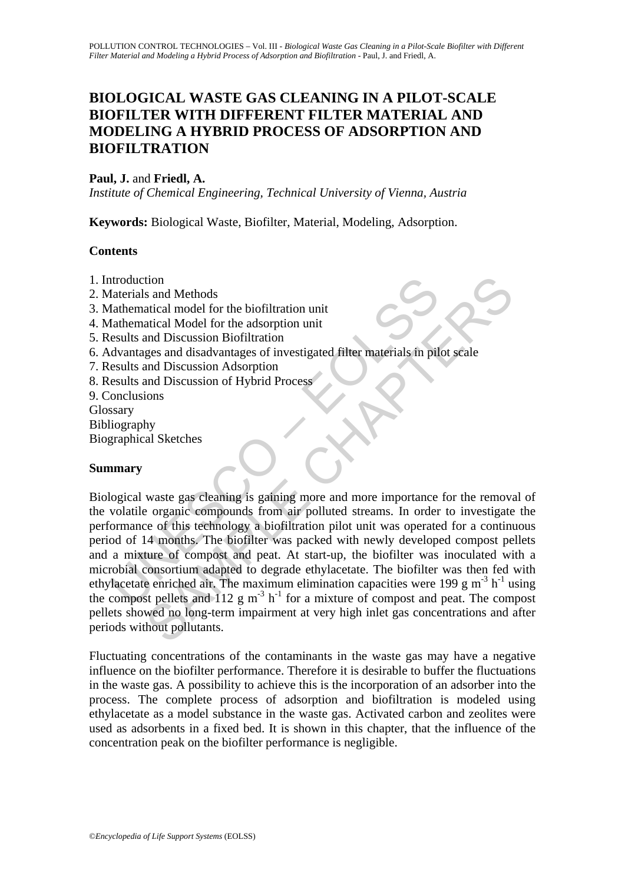# **BIOLOGICAL WASTE GAS CLEANING IN A PILOT-SCALE BIOFILTER WITH DIFFERENT FILTER MATERIAL AND MODELING A HYBRID PROCESS OF ADSORPTION AND BIOFILTRATION**

#### Paul, J. and Friedl, A.

*Institute of Chemical Engineering, Technical University of Vienna, Austria* 

**Keywords:** Biological Waste, Biofilter, Material, Modeling, Adsorption.

#### **Contents**

- 1. Introduction
- 2. Materials and Methods
- 3. Mathematical model for the biofiltration unit
- 4. Mathematical Model for the adsorption unit
- 5. Results and Discussion Biofiltration
- 6. Advantages and disadvantages of investigated filter materials in pilot scale
- 7. Results and Discussion Adsorption
- 8. Results and Discussion of Hybrid Process
- 9. Conclusions

Glossary

Bibliography Biographical Sketches

#### **Summary**

ntroduction<br>
datematical and Methods<br>
flathematical model for the biofiltration unit<br>
flathematical Model for the adsorption unit<br>
esults and Discussion Biofiltration<br>
dvantages and disadvantages of investigated filter mat tion<br>said Methods<br>atical model for the biofiltration unit<br>atical Model for the adsorption unit<br>atical Model for the adsorption unit<br>and Discussion Biofiltration<br>and Discussion Adsorption<br>and Discussion Adsorption<br>and Disc Biological waste gas cleaning is gaining more and more importance for the removal of the volatile organic compounds from air polluted streams. In order to investigate the performance of this technology a biofiltration pilot unit was operated for a continuous period of 14 months. The biofilter was packed with newly developed compost pellets and a mixture of compost and peat. At start-up, the biofilter was inoculated with a microbial consortium adapted to degrade ethylacetate. The biofilter was then fed with ethylacetate enriched air. The maximum elimination capacities were 199 g m<sup>-3</sup> h<sup>-1</sup> using the compost pellets and 112 g m<sup>-3</sup> h<sup>-1</sup> for a mixture of compost and peat. The compost pellets showed no long-term impairment at very high inlet gas concentrations and after periods without pollutants.

Fluctuating concentrations of the contaminants in the waste gas may have a negative influence on the biofilter performance. Therefore it is desirable to buffer the fluctuations in the waste gas. A possibility to achieve this is the incorporation of an adsorber into the process. The complete process of adsorption and biofiltration is modeled using ethylacetate as a model substance in the waste gas. Activated carbon and zeolites were used as adsorbents in a fixed bed. It is shown in this chapter, that the influence of the concentration peak on the biofilter performance is negligible.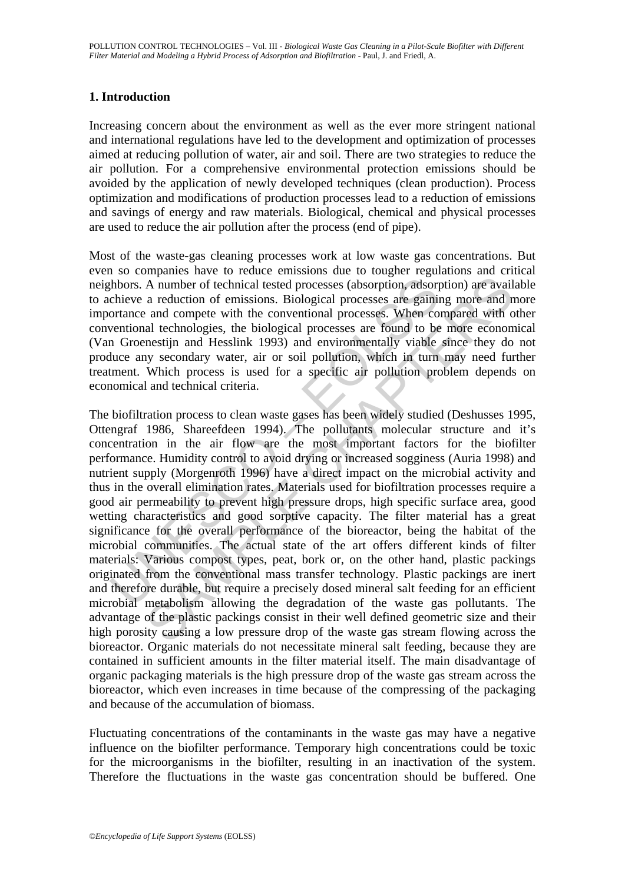### **1. Introduction**

Increasing concern about the environment as well as the ever more stringent national and international regulations have led to the development and optimization of processes aimed at reducing pollution of water, air and soil. There are two strategies to reduce the air pollution. For a comprehensive environmental protection emissions should be avoided by the application of newly developed techniques (clean production). Process optimization and modifications of production processes lead to a reduction of emissions and savings of energy and raw materials. Biological, chemical and physical processes are used to reduce the air pollution after the process (end of pipe).

Most of the waste-gas cleaning processes work at low waste gas concentrations. But even so companies have to reduce emissions due to tougher regulations and critical neighbors. A number of technical tested processes (absorption, adsorption) are available to achieve a reduction of emissions. Biological processes are gaining more and more importance and compete with the conventional processes. When compared with other conventional technologies, the biological processes are found to be more economical (Van Groenestijn and Hesslink 1993) and environmentally viable since they do not produce any secondary water, air or soil pollution, which in turn may need further treatment. Which process is used for a specific air pollution problem depends on economical and technical criteria.

thbors. A number of technical tested processes (absorption, adsorptione a reduction of emissions. Biological processes are gaininortance and compete with the conventional processes. When coventional technologies, the biolo A number of technical tested processes (absorption, adsorption) are avail<br>a reduction of emissions. Biological processes are gaining more and a<br>a reduction of emissions. Biological processes are gaining more and n<br>and com The biofiltration process to clean waste gases has been widely studied (Deshusses 1995, Ottengraf 1986, Shareefdeen 1994). The pollutants molecular structure and it's concentration in the air flow are the most important factors for the biofilter performance. Humidity control to avoid drying or increased sogginess (Auria 1998) and nutrient supply (Morgenroth 1996) have a direct impact on the microbial activity and thus in the overall elimination rates. Materials used for biofiltration processes require a good air permeability to prevent high pressure drops, high specific surface area, good wetting characteristics and good sorptive capacity. The filter material has a great significance for the overall performance of the bioreactor, being the habitat of the microbial communities. The actual state of the art offers different kinds of filter materials: Various compost types, peat, bork or, on the other hand, plastic packings originated from the conventional mass transfer technology. Plastic packings are inert and therefore durable, but require a precisely dosed mineral salt feeding for an efficient microbial metabolism allowing the degradation of the waste gas pollutants. The advantage of the plastic packings consist in their well defined geometric size and their high porosity causing a low pressure drop of the waste gas stream flowing across the bioreactor. Organic materials do not necessitate mineral salt feeding, because they are contained in sufficient amounts in the filter material itself. The main disadvantage of organic packaging materials is the high pressure drop of the waste gas stream across the bioreactor, which even increases in time because of the compressing of the packaging and because of the accumulation of biomass.

Fluctuating concentrations of the contaminants in the waste gas may have a negative influence on the biofilter performance. Temporary high concentrations could be toxic for the microorganisms in the biofilter, resulting in an inactivation of the system. Therefore the fluctuations in the waste gas concentration should be buffered. One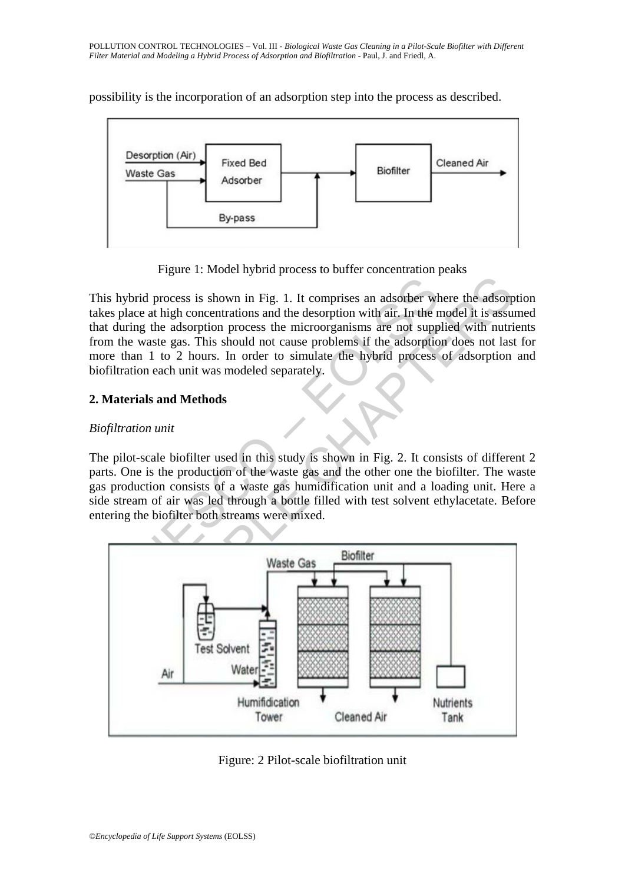

possibility is the incorporation of an adsorption step into the process as described.

Figure 1: Model hybrid process to buffer concentration peaks

S hybrid process is shown in Fig. 1. It comprises an adsorber when the displace at high concentrations and the desorption with air. In the numeral density and the desorption with air. In the number of the mass of the mass This hybrid process is shown in Fig. 1. It comprises an adsorber where the adsorption takes place at high concentrations and the desorption with air. In the model it is assumed that during the adsorption process the microorganisms are not supplied with nutrients from the waste gas. This should not cause problems if the adsorption does not last for more than 1 to 2 hours. In order to simulate the hybrid process of adsorption and biofiltration each unit was modeled separately.

## **2. Materials and Methods**

### *Biofiltration unit*

The pilot-scale biofilter used in this study is shown in Fig. 2. It consists of different 2 parts. One is the production of the waste gas and the other one the biofilter. The waste gas production consists of a waste gas humidification unit and a loading unit. Here a side stream of air was led through a bottle filled with test solvent ethylacetate. Before entering the biofilter both streams were mixed.



Figure: 2 Pilot-scale biofiltration unit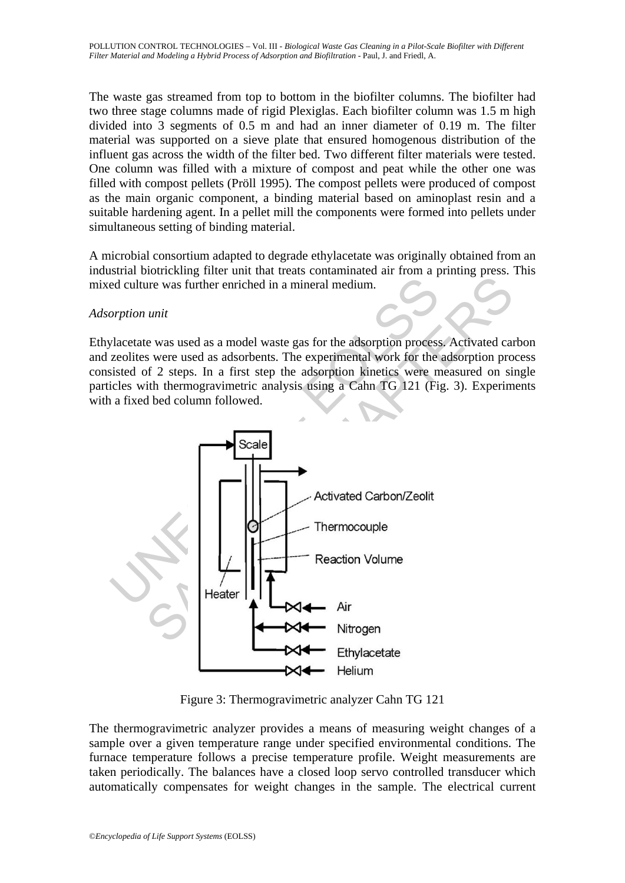The waste gas streamed from top to bottom in the biofilter columns. The biofilter had two three stage columns made of rigid Plexiglas. Each biofilter column was 1.5 m high divided into 3 segments of 0.5 m and had an inner diameter of 0.19 m. The filter material was supported on a sieve plate that ensured homogenous distribution of the influent gas across the width of the filter bed. Two different filter materials were tested. One column was filled with a mixture of compost and peat while the other one was filled with compost pellets (Pröll 1995). The compost pellets were produced of compost as the main organic component, a binding material based on aminoplast resin and a suitable hardening agent. In a pellet mill the components were formed into pellets under simultaneous setting of binding material.

A microbial consortium adapted to degrade ethylacetate was originally obtained from an industrial biotrickling filter unit that treats contaminated air from a printing press. This mixed culture was further enriched in a mineral medium.

#### *Adsorption unit*

Ethylacetate was used as a model waste gas for the adsorption process. Activated carbon and zeolites were used as adsorbents. The experimental work for the adsorption process consisted of 2 steps. In a first step the adsorption kinetics were measured on single particles with thermogravimetric analysis using a Cahn TG 121 (Fig. 3). Experiments with a fixed bed column followed.



Figure 3: Thermogravimetric analyzer Cahn TG 121

The thermogravimetric analyzer provides a means of measuring weight changes of a sample over a given temperature range under specified environmental conditions. The furnace temperature follows a precise temperature profile. Weight measurements are taken periodically. The balances have a closed loop servo controlled transducer which automatically compensates for weight changes in the sample. The electrical current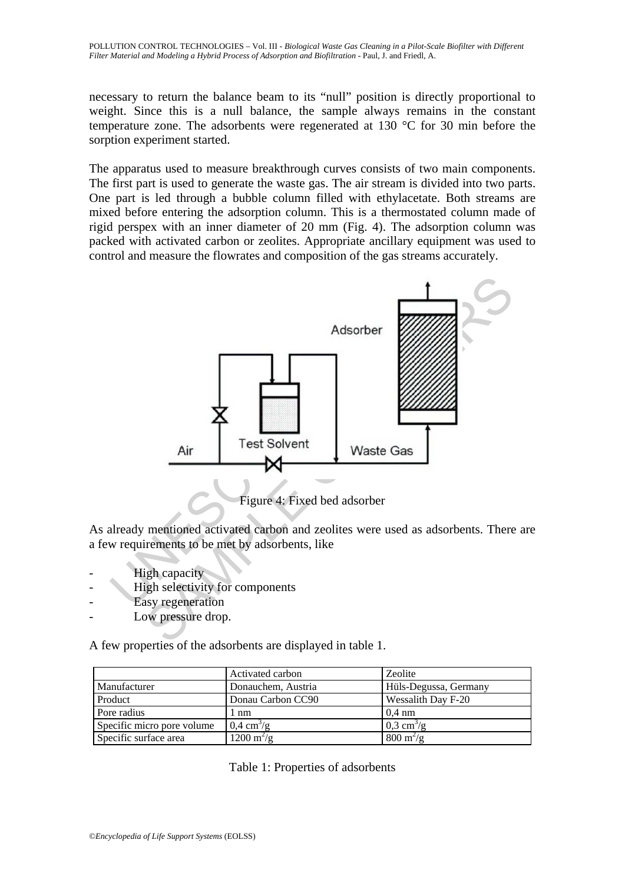necessary to return the balance beam to its "null" position is directly proportional to weight. Since this is a null balance, the sample always remains in the constant temperature zone. The adsorbents were regenerated at 130 °C for 30 min before the sorption experiment started.

The apparatus used to measure breakthrough curves consists of two main components. The first part is used to generate the waste gas. The air stream is divided into two parts. One part is led through a bubble column filled with ethylacetate. Both streams are mixed before entering the adsorption column. This is a thermostated column made of rigid perspex with an inner diameter of 20 mm (Fig. 4). The adsorption column was packed with activated carbon or zeolites. Appropriate ancillary equipment was used to control and measure the flowrates and composition of the gas streams accurately.



As already mentioned activated carbon and zeolites were used as adsorbents. There are a few requirements to be met by adsorbents, like

- High capacity
- High selectivity for components
- Easy regeneration
- Low pressure drop.

A few properties of the adsorbents are displayed in table 1.

|                            | Activated carbon            | Zeolite                           |
|----------------------------|-----------------------------|-----------------------------------|
| Manufacturer               | Donauchem, Austria          | Hüls-Degussa, Germany             |
| Product                    | Donau Carbon CC90           | Wessalith Day F-20                |
| Pore radius                | l nm                        | $0.4 \text{ nm}$                  |
| Specific micro pore volume | $0.4 \text{ cm}^3/\text{g}$ | $0.3 \text{ cm}^3/\text{g}$       |
| Specific surface area      | $1200 \text{ m}^2/\text{g}$ | $800 \frac{\text{m}^2}{\text{g}}$ |

Table 1: Properties of adsorbents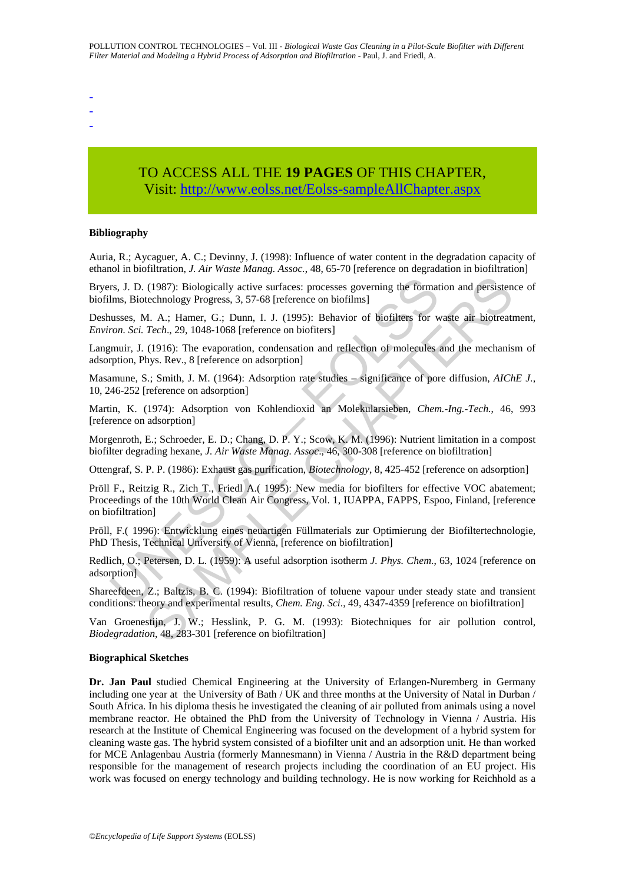-

-

-

# TO ACCESS ALL THE **19 PAGES** OF THIS CHAPTER, Visit: [http://www.eolss.net/Eolss-sampleAllChapter.aspx](https://www.eolss.net/ebooklib/sc_cart.aspx?File=E4-14-05-06)

#### **Bibliography**

Auria, R.; Aycaguer, A. C.; Devinny, J. (1998): Influence of water content in the degradation capacity of ethanol in biofiltration, *J. Air Waste Manag. Assoc.*, 48, 65-70 [reference on degradation in biofiltration]

Bryers, J. D. (1987): Biologically active surfaces: processes governing the formation and persistence of biofilms, Biotechnology Progress, 3, 57-68 [reference on biofilms]

Deshusses, M. A.; Hamer, G.; Dunn, I. J. (1995): Behavior of biofilters for waste air biotreatment, *Environ. Sci. Tech*., 29, 1048-1068 [reference on biofiters]

Langmuir, J. (1916): The evaporation, condensation and reflection of molecules and the mechanism of adsorption, Phys. Rev., 8 [reference on adsorption]

Masamune, S.; Smith, J. M. (1964): Adsorption rate studies – significance of pore diffusion, *AIChE J.*, 10, 246-252 [reference on adsorption]

Martin, K. (1974): Adsorption von Kohlendioxid an Molekularsieben, *Chem.-Ing.-Tech.*, 46, 993 [reference on adsorption]

Morgenroth, E.; Schroeder, E. D.; Chang, D. P. Y.; Scow, K. M. (1996): Nutrient limitation in a compost biofilter degrading hexane, *J. Air Waste Manag. Assoc*., 46, 300-308 [reference on biofiltration]

Ottengraf, S. P. P. (1986): Exhaust gas purification, *Biotechnology*, 8, 425-452 [reference on adsorption]

rs, J. D. (1987): Biologically active surfaces: processes governing the format<br>Ims, Biotechnology Progress, 3, 57-68 [reference on biofilms]<br>uusses, M. A.; Hamer, G.; Dunn, I. J. (1995): Behavior of biofilters for w<br>*ron.* (1987): Biologically active surfaces: processes governing the formation and persistent<br>echnology Progress, 3, 57-68 [reference on biofilms]<br>A. A.; Hamer, G.; Dunn, 1. J. (1995): Behavior of Biofilites for waste air biotre Pröll F., Reitzig R., Zich T., Friedl A.( 1995): New media for biofilters for effective VOC abatement; Proceedings of the 10th World Clean Air Congress, Vol. 1, IUAPPA, FAPPS, Espoo, Finland, [reference on biofiltration]

Pröll, F.( 1996): Entwicklung eines neuartigen Füllmaterials zur Optimierung der Biofiltertechnologie, PhD Thesis, Technical University of Vienna, [reference on biofiltration]

Redlich, O.; Petersen, D. L. (1959): A useful adsorption isotherm *J. Phys. Chem*., 63, 1024 [reference on adsorption]

Shareefdeen, Z.; Baltzis, B. C. (1994): Biofiltration of toluene vapour under steady state and transient conditions: theory and experimental results, *Chem. Eng. Sci*., 49, 4347-4359 [reference on biofiltration]

Van Groenestijn, J. W.; Hesslink, P. G. M. (1993): Biotechniques for air pollution control, *Biodegradation*, 48, 283-301 [reference on biofiltration]

#### **Biographical Sketches**

**Dr. Jan Paul** studied Chemical Engineering at the University of Erlangen-Nuremberg in Germany including one year at the University of Bath / UK and three months at the University of Natal in Durban / South Africa. In his diploma thesis he investigated the cleaning of air polluted from animals using a novel membrane reactor. He obtained the PhD from the University of Technology in Vienna / Austria. His research at the Institute of Chemical Engineering was focused on the development of a hybrid system for cleaning waste gas. The hybrid system consisted of a biofilter unit and an adsorption unit. He than worked for MCE Anlagenbau Austria (formerly Mannesmann) in Vienna / Austria in the R&D department being responsible for the management of research projects including the coordination of an EU project. His work was focused on energy technology and building technology. He is now working for Reichhold as a